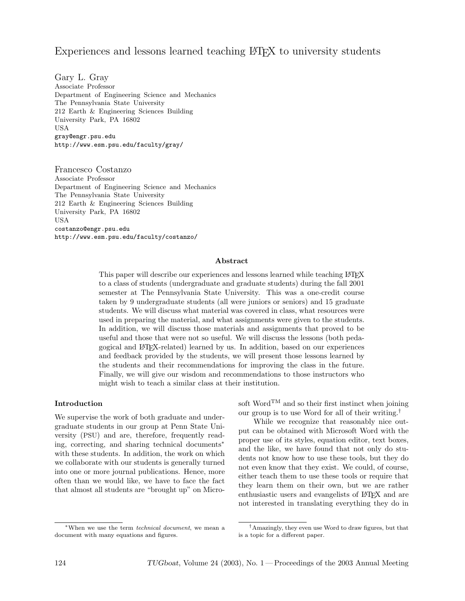# Experiences and lessons learned teaching LAT<sub>EX</sub> to university students

Gary L. Gray Associate Professor Department of Engineering Science and Mechanics The Pennsylvania State University 212 Earth & Engineering Sciences Building University Park, PA 16802 **USA** gray@engr.psu.edu http://www.esm.psu.edu/faculty/gray/

Francesco Costanzo Associate Professor Department of Engineering Science and Mechanics The Pennsylvania State University 212 Earth & Engineering Sciences Building University Park, PA 16802 USA costanzo@engr.psu.edu http://www.esm.psu.edu/faculty/costanzo/

#### Abstract

This paper will describe our experiences and lessons learned while teaching LATEX to a class of students (undergraduate and graduate students) during the fall 2001 semester at The Pennsylvania State University. This was a one-credit course taken by 9 undergraduate students (all were juniors or seniors) and 15 graduate students. We will discuss what material was covered in class, what resources were used in preparing the material, and what assignments were given to the students. In addition, we will discuss those materials and assignments that proved to be useful and those that were not so useful. We will discuss the lessons (both pedagogical and LATEX-related) learned by us. In addition, based on our experiences and feedback provided by the students, we will present those lessons learned by the students and their recommendations for improving the class in the future. Finally, we will give our wisdom and recommendations to those instructors who might wish to teach a similar class at their institution.

#### Introduction

We supervise the work of both graduate and undergraduate students in our group at Penn State University (PSU) and are, therefore, frequently reading, correcting, and sharing technical documents<sup>∗</sup> with these students. In addition, the work on which we collaborate with our students is generally turned into one or more journal publications. Hence, more often than we would like, we have to face the fact that almost all students are "brought up" on Microsoft Word<sup>TM</sup> and so their first instinct when joining our group is to use Word for all of their writing.†

While we recognize that reasonably nice output can be obtained with Microsoft Word with the proper use of its styles, equation editor, text boxes, and the like, we have found that not only do students not know how to use these tools, but they do not even know that they exist. We could, of course, either teach them to use these tools or require that they learn them on their own, but we are rather enthusiastic users and evangelists of LAT<sub>EX</sub> and are not interested in translating everything they do in

<sup>∗</sup>When we use the term technical document, we mean a document with many equations and figures.

<sup>†</sup>Amazingly, they even use Word to draw figures, but that is a topic for a different paper.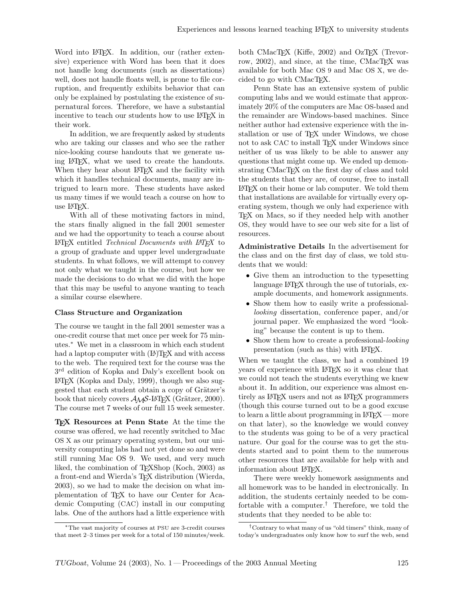Word into LAT<sub>E</sub>X. In addition, our (rather extensive) experience with Word has been that it does not handle long documents (such as dissertations) well, does not handle floats well, is prone to file corruption, and frequently exhibits behavior that can only be explained by postulating the existence of supernatural forces. Therefore, we have a substantial incentive to teach our students how to use LAT<sub>EX</sub> in their work.

In addition, we are frequently asked by students who are taking our classes and who see the rather nice-looking course handouts that we generate using LATEX, what we used to create the handouts. When they hear about LAT<sub>EX</sub> and the facility with which it handles technical documents, many are intrigued to learn more. These students have asked us many times if we would teach a course on how to use LATEX.

With all of these motivating factors in mind, the stars finally aligned in the fall 2001 semester and we had the opportunity to teach a course about LAT<sub>EX</sub> entitled Technical Documents with LAT<sub>EX</sub> to a group of graduate and upper level undergraduate students. In what follows, we will attempt to convey not only what we taught in the course, but how we made the decisions to do what we did with the hope that this may be useful to anyone wanting to teach a similar course elsewhere.

## Class Structure and Organization

The course we taught in the fall 2001 semester was a one-credit course that met once per week for 75 minutes.<sup>∗</sup> We met in a classroom in which each student had a laptop computer with  $(L)$ TEX and with access to the web. The required text for the course was the 3 rd edition of Kopka and Daly's excellent book on LATEX (Kopka and Daly, 1999), though we also suggested that each student obtain a copy of Grätzer's book that nicely covers  $A_{\mathcal{M}}S$ -L<sup>A</sup>T<sub>E</sub>X (Grätzer, 2000). The course met 7 weeks of our full 15 week semester.

TEX Resources at Penn State At the time the course was offered, we had recently switched to Mac OS X as our primary operating system, but our university computing labs had not yet done so and were still running Mac OS 9. We used, and very much liked, the combination of T<sub>E</sub>XShop (Koch, 2003) as a front-end and Wierda's TEX distribution (Wierda, 2003), so we had to make the decision on what implementation of TEX to have our Center for Academic Computing (CAC) install in our computing labs. One of the authors had a little experience with

<sup>∗</sup>The vast majority of courses at PSU are 3-credit courses that meet 2–3 times per week for a total of 150 minutes/week. both CMacT<sub>E</sub>X (Kiffe, 2002) and OzT<sub>E</sub>X (Trevorrow, 2002), and since, at the time, CMacT<sub>EX</sub> was available for both Mac OS 9 and Mac OS X, we decided to go with CMacTEX.

Penn State has an extensive system of public computing labs and we would estimate that approximately 20% of the computers are Mac OS-based and the remainder are Windows-based machines. Since neither author had extensive experience with the installation or use of TEX under Windows, we chose not to ask CAC to install TFX under Windows since neither of us was likely to be able to answer any questions that might come up. We ended up demonstrating CMacT<sub>EX</sub> on the first day of class and told the students that they are, of course, free to install LATEX on their home or lab computer. We told them that installations are available for virtually every operating system, though we only had experience with TEX on Macs, so if they needed help with another OS, they would have to see our web site for a list of resources.

Administrative Details In the advertisement for the class and on the first day of class, we told students that we would:

- Give them an introduction to the typesetting language LATEX through the use of tutorials, example documents, and homework assignments.
- Show them how to easily write a professionallooking dissertation, conference paper, and/or journal paper. We emphasized the word "looking" because the content is up to them.
- Show them how to create a professional-looking presentation (such as this) with LATEX.

When we taught the class, we had a combined 19 years of experience with LATEX so it was clear that we could not teach the students everything we knew about it. In addition, our experience was almost entirely as LATEX users and not as LATEX programmers (though this course turned out to be a good excuse to learn a little about programming in LATEX — more on that later), so the knowledge we would convey to the students was going to be of a very practical nature. Our goal for the course was to get the students started and to point them to the numerous other resources that are available for help with and information about L<sup>AT</sup>FX.

There were weekly homework assignments and all homework was to be handed in electronically. In addition, the students certainly needed to be comfortable with a computer.† Therefore, we told the students that they needed to be able to:

<sup>†</sup>Contrary to what many of us "old timers" think, many of today's undergraduates only know how to surf the web, send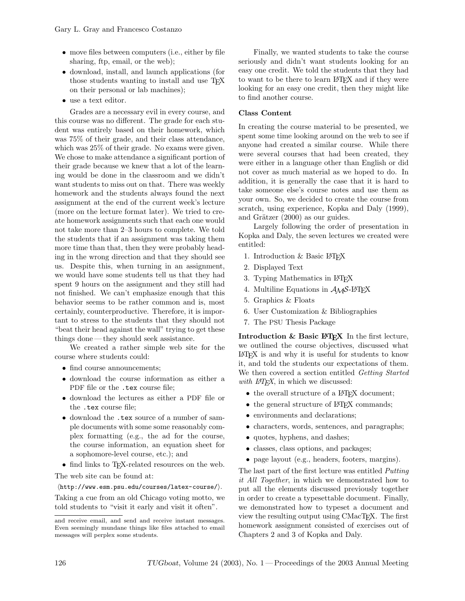- move files between computers (i.e., either by file sharing, ftp, email, or the web);
- download, install, and launch applications (for those students wanting to install and use TEX on their personal or lab machines);
- use a text editor.

Grades are a necessary evil in every course, and this course was no different. The grade for each student was entirely based on their homework, which was 75% of their grade, and their class attendance, which was 25% of their grade. No exams were given. We chose to make attendance a significant portion of their grade because we knew that a lot of the learning would be done in the classroom and we didn't want students to miss out on that. There was weekly homework and the students always found the next assignment at the end of the current week's lecture (more on the lecture format later). We tried to create homework assignments such that each one would not take more than 2–3 hours to complete. We told the students that if an assignment was taking them more time than that, then they were probably heading in the wrong direction and that they should see us. Despite this, when turning in an assignment, we would have some students tell us that they had spent 9 hours on the assignment and they still had not finished. We can't emphasize enough that this behavior seems to be rather common and is, most certainly, counterproductive. Therefore, it is important to stress to the students that they should not "beat their head against the wall" trying to get these things done — they should seek assistance.

We created a rather simple web site for the course where students could:

- find course announcements;
- download the course information as either a PDF file or the .tex course file;
- download the lectures as either a PDF file or the .tex course file;
- download the .tex source of a number of sample documents with some some reasonably complex formatting (e.g., the ad for the course, the course information, an equation sheet for a sophomore-level course, etc.); and
- find links to T<sub>F</sub>X-related resources on the web.

The web site can be found at:

 $\langle \text{http://www.esm.psu.edu/courses/latex-course/}\rangle.$ 

Taking a cue from an old Chicago voting motto, we told students to "visit it early and visit it often".

Finally, we wanted students to take the course seriously and didn't want students looking for an easy one credit. We told the students that they had to want to be there to learn LATEX and if they were looking for an easy one credit, then they might like to find another course.

## Class Content

In creating the course material to be presented, we spent some time looking around on the web to see if anyone had created a similar course. While there were several courses that had been created, they were either in a language other than English or did not cover as much material as we hoped to do. In addition, it is generally the case that it is hard to take someone else's course notes and use them as your own. So, we decided to create the course from scratch, using experience, Kopka and Daly (1999), and Grätzer  $(2000)$  as our guides.

Largely following the order of presentation in Kopka and Daly, the seven lectures we created were entitled:

- 1. Introduction & Basic LATEX
- 2. Displayed Text
- 3. Typing Mathematics in L<sup>AT</sup>FX
- 4. Multiline Equations in  $A_{\mathcal{M}}S$ -LAT<sub>F</sub>X
- 5. Graphics & Floats
- 6. User Customization & Bibliographies
- 7. The PSU Thesis Package

Introduction  $&$  Basic  $EFT$ <sub>FX</sub> In the first lecture, we outlined the course objectives, discussed what LATEX is and why it is useful for students to know it, and told the students our expectations of them. We then covered a section entitled Getting Started with  $\text{LATEX}$ , in which we discussed:

- the overall structure of a L<sup>AT</sup>FX document;
- the general structure of L<sup>AT</sup>FX commands;
- environments and declarations;
- characters, words, sentences, and paragraphs;
- quotes, hyphens, and dashes;
- classes, class options, and packages;
- page layout (e.g., headers, footers, margins).

The last part of the first lecture was entitled Putting it All Together, in which we demonstrated how to put all the elements discussed previously together in order to create a typesettable document. Finally, we demonstrated how to typeset a document and view the resulting output using CMacT<sub>EX</sub>. The first homework assignment consisted of exercises out of Chapters 2 and 3 of Kopka and Daly.

and receive email, and send and receive instant messages. Even seemingly mundane things like files attached to email messages will perplex some students.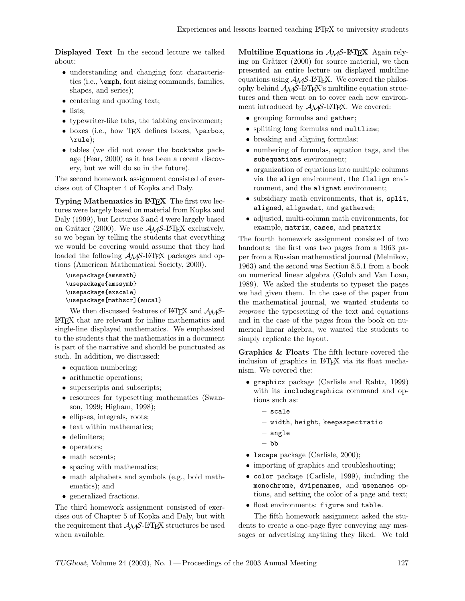Displayed Text In the second lecture we talked about:

- understanding and changing font characteristics (i.e., \emph, font sizing commands, families, shapes, and series);
- centering and quoting text;
- lists:
- typewriter-like tabs, the tabbing environment;
- boxes (i.e., how TFX defines boxes, \parbox, \rule);
- tables (we did not cover the booktabs package (Fear, 2000) as it has been a recent discovery, but we will do so in the future).

The second homework assignment consisted of exercises out of Chapter 4 of Kopka and Daly.

Typing Mathematics in LAT<sub>EX</sub> The first two lectures were largely based on material from Kopka and Daly (1999), but Lectures 3 and 4 were largely based on Grätzer (2000). We use  $A_{\mathcal{M}}S$ -L<sup>AT</sup>EX exclusively, so we began by telling the students that everything we would be covering would assume that they had loaded the following  $A_{\mathcal{M}}S$ -LAT<sub>F</sub>X packages and options (American Mathematical Society, 2000).

\usepackage{amsmath} \usepackage{amssymb} \usepackage{exscale} \usepackage[mathscr]{eucal}

We then discussed features of  $\mathbb{A}T\mathbb{F}X$  and  $\mathcal{A}\mathcal{A}\mathcal{S}$ -LATEX that are relevant for inline mathematics and single-line displayed mathematics. We emphasized to the students that the mathematics in a document is part of the narrative and should be punctuated as such. In addition, we discussed:

- equation numbering;
- arithmetic operations;
- superscripts and subscripts;
- resources for typesetting mathematics (Swanson, 1999; Higham, 1998);
- ellipses, integrals, roots;
- text within mathematics;
- delimiters;
- operators;
- math accents;
- spacing with mathematics;
- math alphabets and symbols (e.g., bold mathematics); and
- generalized fractions.

The third homework assignment consisted of exercises out of Chapter 5 of Kopka and Daly, but with the requirement that  $A_{\mathcal{M}}S$ -L<sup>AT</sup>EX structures be used when available.

Multiline Equations in  $A_{\mathcal{M}}S$ -L<sup>AT</sup>EX Again relying on Grätzer  $(2000)$  for source material, we then presented an entire lecture on displayed multiline equations using  $A_{\mathcal{M}}S$ -L<sup>A</sup>T<sub>E</sub>X. We covered the philosophy behind  $A\mathcal{M}S$ -L<sup>A</sup>TEX's multiline equation structures and then went on to cover each new environment introduced by  $A_{\mathcal{M}}S$ -L<sup>A</sup>T<sub>E</sub>X. We covered:

- grouping formulas and gather;
- splitting long formulas and multline;
- breaking and aligning formulas;
- numbering of formulas, equation tags, and the subequations environment;
- organization of equations into multiple columns via the align environment, the flalign environment, and the alignat environment;
- subsidiary math environments, that is, split, aligned, alignedat, and gathered;
- adjusted, multi-column math environments, for example, matrix, cases, and pmatrix

The fourth homework assignment consisted of two handouts: the first was two pages from a 1963 paper from a Russian mathematical journal (Melnikov, 1963) and the second was Section 8.5.1 from a book on numerical linear algebra (Golub and Van Loan, 1989). We asked the students to typeset the pages we had given them. In the case of the paper from the mathematical journal, we wanted students to improve the typesetting of the text and equations and in the case of the pages from the book on numerical linear algebra, we wanted the students to simply replicate the layout.

Graphics & Floats The fifth lecture covered the inclusion of graphics in LATEX via its float mechanism. We covered the:

- graphicx package (Carlisle and Rahtz, 1999) with its includegraphics command and options such as:
	- scale
	- width, height, keepaspectratio
	- angle
	- bb
- Iscape package (Carlisle, 2000);
- importing of graphics and troubleshooting;
- color package (Carlisle, 1999), including the monochrome, dvipsnames, and usenames options, and setting the color of a page and text;
- float environments: figure and table.

The fifth homework assignment asked the students to create a one-page flyer conveying any messages or advertising anything they liked. We told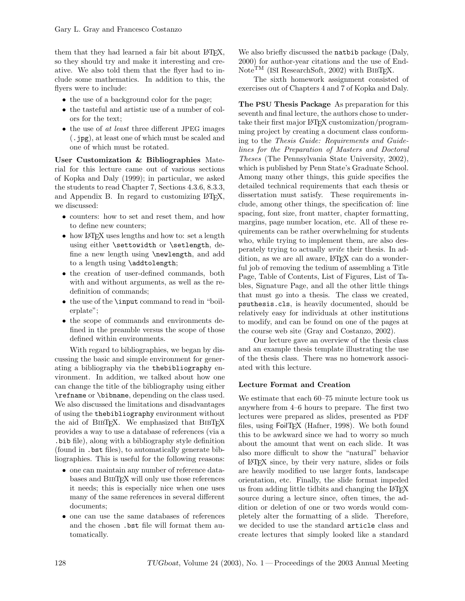them that they had learned a fair bit about LAT<sub>EX</sub>, so they should try and make it interesting and creative. We also told them that the flyer had to include some mathematics. In addition to this, the flyers were to include:

- the use of a background color for the page;
- the tasteful and artistic use of a number of colors for the text;
- the use of at least three different JPEG images (.jpg), at least one of which must be scaled and one of which must be rotated.

User Customization & Bibliographies Material for this lecture came out of various sections of Kopka and Daly (1999); in particular, we asked the students to read Chapter 7, Sections 4.3.6, 8.3.3, and Appendix B. In regard to customizing LATEX, we discussed:

- counters: how to set and reset them, and how to define new counters;
- how LAT<sub>F</sub>X uses lengths and how to: set a length using either \settowidth or \setlength, define a new length using \newlength, and add to a length using \addtolength;
- the creation of user-defined commands, both with and without arguments, as well as the redefinition of commands;
- the use of the **\input** command to read in "boilerplate";
- the scope of commands and environments defined in the preamble versus the scope of those defined within environments.

With regard to bibliographies, we began by discussing the basic and simple environment for generating a bibliography via the thebibliography environment. In addition, we talked about how one can change the title of the bibliography using either \refname or \bibname, depending on the class used. We also discussed the limitations and disadvantages of using the thebibliography environment without the aid of BibTEX. We emphasized that BibTEX provides a way to use a database of references (via a .bib file), along with a bibliography style definition (found in .bst files), to automatically generate bibliographies. This is useful for the following reasons:

- one can maintain any number of reference databases and BIBTEX will only use those references it needs; this is especially nice when one uses many of the same references in several different documents;
- one can use the same databases of references and the chosen .bst file will format them automatically.

We also briefly discussed the **natbib** package (Daly, 2000) for author-year citations and the use of End-Note<sup>TM</sup> (ISI ResearchSoft, 2002) with BIBT<sub>F</sub>X.

The sixth homework assignment consisted of exercises out of Chapters 4 and 7 of Kopka and Daly.

The PSU Thesis Package As preparation for this seventh and final lecture, the authors chose to undertake their first major LATEX customization/programming project by creating a document class conforming to the Thesis Guide: Requirements and Guidelines for the Preparation of Masters and Doctoral Theses (The Pennsylvania State University, 2002), which is published by Penn State's Graduate School. Among many other things, this guide specifies the detailed technical requirements that each thesis or dissertation must satisfy. These requirements include, among other things, the specification of: line spacing, font size, front matter, chapter formatting, margins, page number location, etc. All of these requirements can be rather overwhelming for students who, while trying to implement them, are also desperately trying to actually write their thesis. In addition, as we are all aware, LAT<sub>EX</sub> can do a wonderful job of removing the tedium of assembling a Title Page, Table of Contents, List of Figures, List of Tables, Signature Page, and all the other little things that must go into a thesis. The class we created, psuthesis.cls, is heavily documented, should be relatively easy for individuals at other institutions to modify, and can be found on one of the pages at the course web site (Gray and Costanzo, 2002).

Our lecture gave an overview of the thesis class and an example thesis template illustrating the use of the thesis class. There was no homework associated with this lecture.

## Lecture Format and Creation

We estimate that each 60–75 minute lecture took us anywhere from 4–6 hours to prepare. The first two lectures were prepared as slides, presented as PDF files, using FoilTFX (Hafner, 1998). We both found this to be awkward since we had to worry so much about the amount that went on each slide. It was also more difficult to show the "natural" behavior of LATEX since, by their very nature, slides or foils are heavily modified to use larger fonts, landscape orientation, etc. Finally, the slide format impeded us from adding little tidbits and changing the LATEX source during a lecture since, often times, the addition or deletion of one or two words would completely alter the formatting of a slide. Therefore, we decided to use the standard article class and create lectures that simply looked like a standard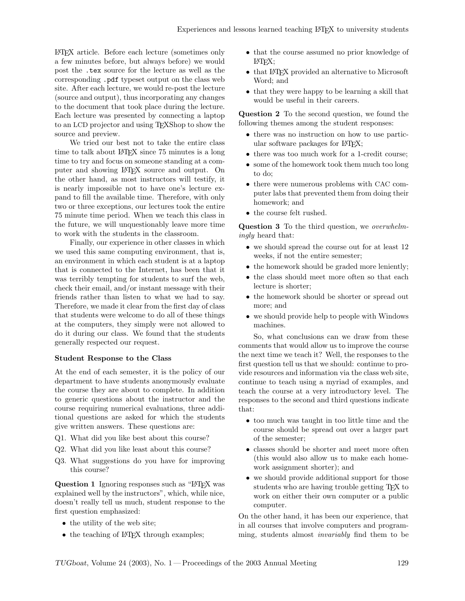LATEX article. Before each lecture (sometimes only a few minutes before, but always before) we would post the .tex source for the lecture as well as the corresponding .pdf typeset output on the class web site. After each lecture, we would re-post the lecture (source and output), thus incorporating any changes to the document that took place during the lecture. Each lecture was presented by connecting a laptop to an LCD projector and using TEXShop to show the source and preview.

We tried our best not to take the entire class time to talk about LATEX since 75 minutes is a long time to try and focus on someone standing at a computer and showing LATEX source and output. On the other hand, as most instructors will testify, it is nearly impossible not to have one's lecture expand to fill the available time. Therefore, with only two or three exceptions, our lectures took the entire 75 minute time period. When we teach this class in the future, we will unquestionably leave more time to work with the students in the classroom.

Finally, our experience in other classes in which we used this same computing environment, that is, an environment in which each student is at a laptop that is connected to the Internet, has been that it was terribly tempting for students to surf the web, check their email, and/or instant message with their friends rather than listen to what we had to say. Therefore, we made it clear from the first day of class that students were welcome to do all of these things at the computers, they simply were not allowed to do it during our class. We found that the students generally respected our request.

#### Student Response to the Class

At the end of each semester, it is the policy of our department to have students anonymously evaluate the course they are about to complete. In addition to generic questions about the instructor and the course requiring numerical evaluations, three additional questions are asked for which the students give written answers. These questions are:

- Q1. What did you like best about this course?
- Q2. What did you like least about this course?
- Q3. What suggestions do you have for improving this course?

Question 1 Ignoring responses such as "LATEX was explained well by the instructors", which, while nice, doesn't really tell us much, student response to the first question emphasized:

- the utility of the web site;
- the teaching of LAT<sub>EX</sub> through examples;
- that the course assumed no prior knowledge of LATEX;
- that LAT<sub>EX</sub> provided an alternative to Microsoft Word; and
- that they were happy to be learning a skill that would be useful in their careers.

Question 2 To the second question, we found the following themes among the student responses:

- there was no instruction on how to use particular software packages for LAT<sub>EX</sub>;
- there was too much work for a 1-credit course;
- some of the homework took them much too long to do;
- there were numerous problems with CAC computer labs that prevented them from doing their homework; and
- the course felt rushed.

Question 3 To the third question, we overwhelmingly heard that:

- we should spread the course out for at least 12 weeks, if not the entire semester;
- the homework should be graded more leniently;
- the class should meet more often so that each lecture is shorter;
- the homework should be shorter or spread out more; and
- we should provide help to people with Windows machines.

So, what conclusions can we draw from these comments that would allow us to improve the course the next time we teach it? Well, the responses to the first question tell us that we should: continue to provide resources and information via the class web site, continue to teach using a myriad of examples, and teach the course at a very introductory level. The responses to the second and third questions indicate that:

- too much was taught in too little time and the course should be spread out over a larger part of the semester;
- classes should be shorter and meet more often (this would also allow us to make each homework assignment shorter); and
- we should provide additional support for those students who are having trouble getting T<sub>E</sub>X to work on either their own computer or a public computer.

On the other hand, it has been our experience, that in all courses that involve computers and programming, students almost *invariably* find them to be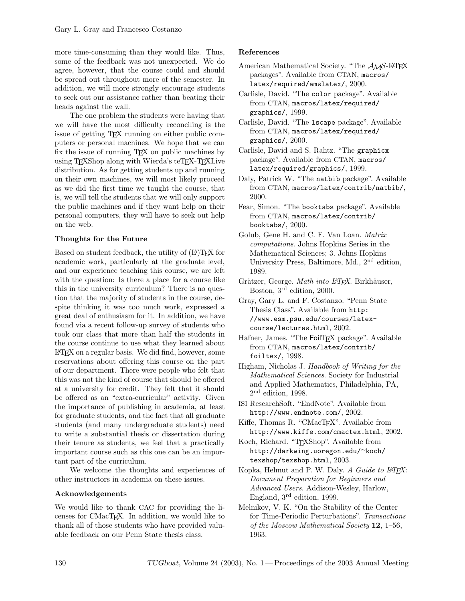more time-consuming than they would like. Thus, some of the feedback was not unexpected. We do agree, however, that the course could and should be spread out throughout more of the semester. In addition, we will more strongly encourage students to seek out our assistance rather than beating their heads against the wall.

The one problem the students were having that we will have the most difficulty reconciling is the issue of getting TEX running on either public computers or personal machines. We hope that we can fix the issue of running T<sub>EX</sub> on public machines by using TEXShop along with Wierda's teTEX-TEXLive distribution. As for getting students up and running on their own machines, we will most likely proceed as we did the first time we taught the course, that is, we will tell the students that we will only support the public machines and if they want help on their personal computers, they will have to seek out help on the web.

## Thoughts for the Future

Based on student feedback, the utility of  $(A)$ TEX for academic work, particularly at the graduate level, and our experience teaching this course, we are left with the question: Is there a place for a course like this in the university curriculum? There is no question that the majority of students in the course, despite thinking it was too much work, expressed a great deal of enthusiasm for it. In addition, we have found via a recent follow-up survey of students who took our class that more than half the students in the course continue to use what they learned about LATEX on a regular basis. We did find, however, some reservations about offering this course on the part of our department. There were people who felt that this was not the kind of course that should be offered at a university for credit. They felt that it should be offered as an "extra-curricular" activity. Given the importance of publishing in academia, at least for graduate students, and the fact that all graduate students (and many undergraduate students) need to write a substantial thesis or dissertation during their tenure as students, we feel that a practically important course such as this one can be an important part of the curriculum.

We welcome the thoughts and experiences of other instructors in academia on these issues.

## Acknowledgements

We would like to thank CAC for providing the licenses for CMacTEX. In addition, we would like to thank all of those students who have provided valuable feedback on our Penn State thesis class.

#### References

- American Mathematical Society. "The  $A_{\mathcal{M}}S$ -L<sup>AT</sup>FX packages". Available from CTAN, macros/ latex/required/amslatex/, 2000.
- Carlisle, David. "The color package". Available from CTAN, macros/latex/required/ graphics/, 1999.
- Carlisle, David. "The lscape package". Available from CTAN, macros/latex/required/ graphics/, 2000.
- Carlisle, David and S. Rahtz. "The graphicx package". Available from CTAN, macros/ latex/required/graphics/, 1999.
- Daly, Patrick W. "The natbib package". Available from CTAN, macros/latex/contrib/natbib/, 2000.
- Fear, Simon. "The booktabs package". Available from CTAN, macros/latex/contrib/ booktabs/, 2000.
- Golub, Gene H. and C. F. Van Loan. Matrix computations. Johns Hopkins Series in the Mathematical Sciences; 3. Johns Hopkins University Press, Baltimore, Md., 2nd edition, 1989.
- Grätzer, George. Math into L<sup>AT</sup>FX. Birkhäuser, Boston, 3rd edition, 2000.
- Gray, Gary L. and F. Costanzo. "Penn State Thesis Class". Available from http: //www.esm.psu.edu/courses/latexcourse/lectures.html, 2002.
- Hafner, James. "The FoilTFX package". Available from CTAN, macros/latex/contrib/ foiltex/, 1998.
- Higham, Nicholas J. Handbook of Writing for the Mathematical Sciences. Society for Industrial and Applied Mathematics, Philadelphia, PA, 2 nd edition, 1998.
- ISI ResearchSoft. "EndNote". Available from http://www.endnote.com/, 2002.
- Kiffe, Thomas R. "CMacT<sub>F</sub>X". Available from http://www.kiffe.com/cmactex.html, 2002.
- Koch, Richard. "TEXShop". Available from http://darkwing.uoregon.edu/<sup>∼</sup>koch/ texshop/texshop.html, 2003.
- Kopka, Helmut and P. W. Daly. A Guide to LATEX: Document Preparation for Beginners and Advanced Users. Addison-Wesley, Harlow, England, 3rd edition, 1999.
- Melnikov, V. K. "On the Stability of the Center for Time-Periodic Perturbations". Transactions of the Moscow Mathematical Society 12, 1–56, 1963.